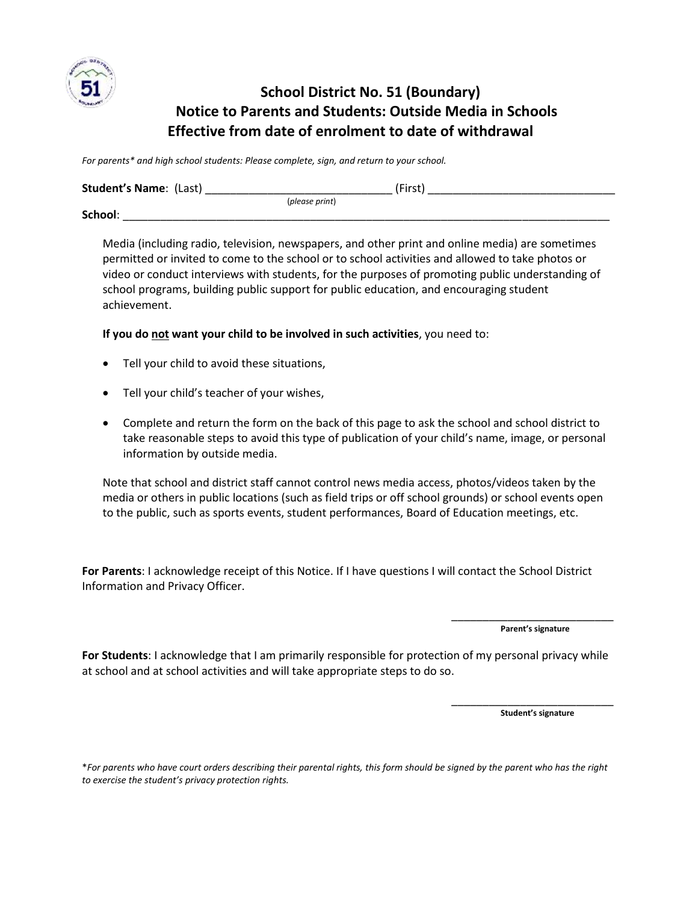

## **School District No. 51 (Boundary) Notice to Parents and Students: Outside Media in Schools Effective from date of enrolment to date of withdrawal**

*For parents\* and high school students: Please complete, sign, and return to your school.*

| <b>Student's Name: (Last)</b> |                | 'First |
|-------------------------------|----------------|--------|
|                               | (please print) |        |
| School:                       |                |        |

Media (including radio, television, newspapers, and other print and online media) are sometimes permitted or invited to come to the school or to school activities and allowed to take photos or video or conduct interviews with students, for the purposes of promoting public understanding of school programs, building public support for public education, and encouraging student achievement.

**If you do not want your child to be involved in such activities**, you need to:

- Tell your child to avoid these situations,
- Tell your child's teacher of your wishes,
- Complete and return the form on the back of this page to ask the school and school district to take reasonable steps to avoid this type of publication of your child's name, image, or personal information by outside media.

Note that school and district staff cannot control news media access, photos/videos taken by the media or others in public locations (such as field trips or off school grounds) or school events open to the public, such as sports events, student performances, Board of Education meetings, etc.

**For Parents**: I acknowledge receipt of this Notice. If I have questions I will contact the School District Information and Privacy Officer.

> \_\_\_\_\_\_\_\_\_\_\_\_\_\_\_\_\_\_\_\_\_\_\_\_\_\_ **Parent's signature**

**For Students**: I acknowledge that I am primarily responsible for protection of my personal privacy while at school and at school activities and will take appropriate steps to do so.

> \_\_\_\_\_\_\_\_\_\_\_\_\_\_\_\_\_\_\_\_\_\_\_\_\_\_ **Student's signature**

\**For parents who have court orders describing their parental rights, this form should be signed by the parent who has the right to exercise the student's privacy protection rights.*